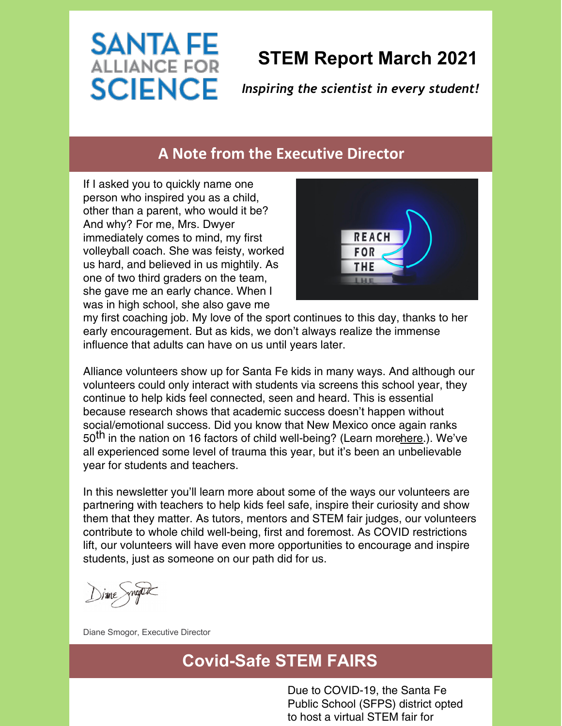# **STEM Report March 2021**

*Inspiring the scientist in every student!*

#### **A Note from the Executive Director**

If I asked you to quickly name one person who inspired you as a child, other than a parent, who would it be? And why? For me, Mrs. Dwyer immediately comes to mind, my first volleyball coach. She was feisty, worked us hard, and believed in us mightily. As one of two third graders on the team, she gave me an early chance. When I was in high school, she also gave me

**SANTA FE ALLIANCE FOR** 

**SCIENCE** 



my first coaching job. My love of the sport continues to this day, thanks to her early encouragement. But as kids, we don't always realize the immense influence that adults can have on us until years later.

Alliance volunteers show up for Santa Fe kids in many ways. And although our volunteers could only interact with students via screens this school year, they continue to help kids feel connected, seen and heard. This is essential because research shows that academic success doesn't happen without social/emotional success. Did you know that New Mexico once again ranks 50<sup>th</sup> in the nation on 16 factors of child well-being? (Learn mor[ehere](https://www.aecf.org/m/databook/2020KC_profile_NM.pdf).). We've all experienced some level of trauma this year, but it's been an unbelievable year for students and teachers.

In this newsletter you'll learn more about some of the ways our volunteers are partnering with teachers to help kids feel safe, inspire their curiosity and show them that they matter. As tutors, mentors and STEM fair judges, our volunteers contribute to whole child well-being, first and foremost. As COVID restrictions lift, our volunteers will have even more opportunities to encourage and inspire students, just as someone on our path did for us.

Diane Smogor, Executive Director

### **Covid-Safe STEM FAIRS**

Due to COVID-19, the Santa Fe Public School (SFPS) district opted to host a virtual STEM fair for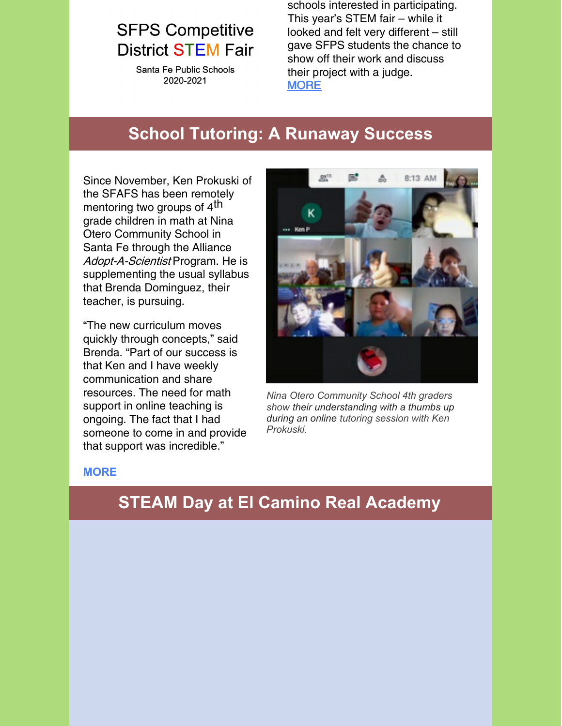# **SFPS Competitive District STEM Fair**

Santa Fe Public Schools 2020-2021

schools interested in participating. This year's STEM fair – while it looked and felt very different – still gave SFPS students the chance to show off their work and discuss their project with a judge. **[MORE](https://files.constantcontact.com/1497272b601/4504fac9-740b-4687-9922-1bcef959e79f.pdf)** 

### **School Tutoring: A Runaway Success**

Since November, Ken Prokuski of the SFAFS has been remotely mentoring two groups of 4<sup>th</sup> grade children in math at Nina Otero Community School in Santa Fe through the Alliance Adopt-A-Scientist Program. He is supplementing the usual syllabus that Brenda Dominguez, their teacher, is pursuing.

"The new curriculum moves quickly through concepts," said Brenda. "Part of our success is that Ken and I have weekly communication and share resources. The need for math support in online teaching is ongoing. The fact that I had someone to come in and provide that support was incredible."



*Nina Otero Community School 4th graders show their understanding with a thumbs up during an online tutoring session with Ken Prokuski.*

#### **[MORE](https://files.constantcontact.com/1497272b601/c01f7d85-8e21-46f1-b820-ec60470935be.pdf)**

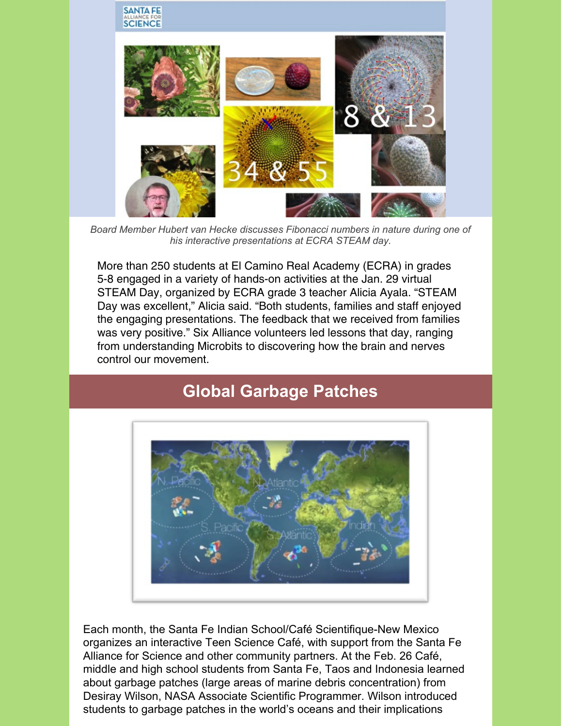

*Board Member Hubert van Hecke discusses Fibonacci numbers in nature during one of his interactive presentations at ECRA STEAM day.*

More than 250 students at El Camino Real Academy (ECRA) in grades 5-8 engaged in a variety of hands-on activities at the Jan. 29 virtual STEAM Day, organized by ECRA grade 3 teacher Alicia Ayala. "STEAM Day was excellent," Alicia said. "Both students, families and staff enjoyed the engaging presentations. The feedback that we received from families was very positive." Six Alliance volunteers led lessons that day, ranging from understanding Microbits to discovering how the brain and nerves control our movement.

# **Global Garbage Patches**



Each month, the Santa Fe Indian School/Café Scientifique-New Mexico organizes an interactive Teen Science Café, with support from the Santa Fe Alliance for Science and other community partners. At the Feb. 26 Café, middle and high school students from Santa Fe, Taos and Indonesia learned about garbage patches (large areas of marine debris concentration) from Desiray Wilson, NASA Associate Scientific Programmer. Wilson introduced students to garbage patches in the world's oceans and their implications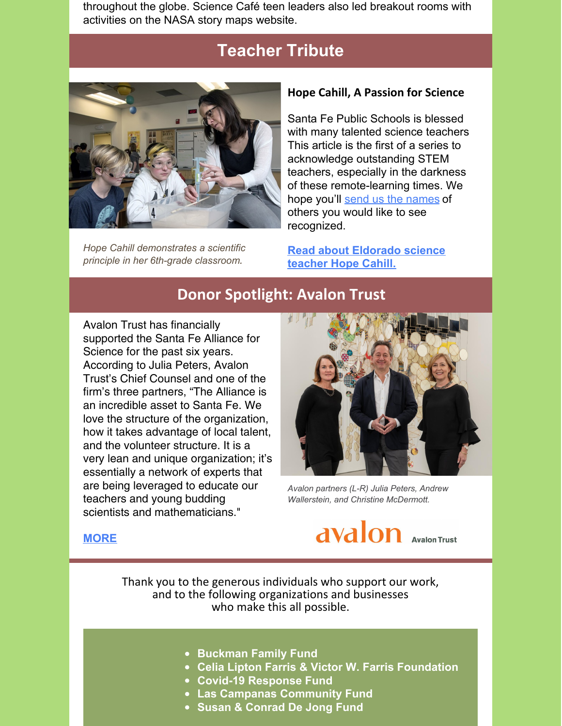throughout the globe. Science Café teen leaders also led breakout rooms with activities on the NASA story maps website.

### **Teacher Tribute**



*Hope Cahill demonstrates a scientific principle in her 6th-grade classroom.*

#### **Hope Cahill, A Passion for Science**

Santa Fe Public Schools is blessed with many talented science teachers This article is the first of a series to acknowledge outstanding STEM teachers, especially in the darkness of these remote-learning times. We hope you'll send us the [names](mailto:info@sfafs.org) of others you would like to see recognized.

**Read about [Eldorado](https://files.constantcontact.com/1497272b601/ff356573-c602-42af-8904-15a562ea1fc7.pdf) science teacher Hope Cahill.**

#### **Donor Spotlight: Avalon Trust**

Avalon Trust has financially supported the Santa Fe Alliance for Science for the past six years. According to Julia Peters, Avalon Trust's Chief Counsel and one of the firm's three partners, "The Alliance is an incredible asset to Santa Fe. We love the structure of the organization, how it takes advantage of local talent, and the volunteer structure. It is a very lean and unique organization; it's essentially a network of experts that are being leveraged to educate our teachers and young budding scientists and mathematicians."



*Avalon partners (L-R) Julia Peters, Andrew Wallerstein, and Christine McDermott.*

avalon **Avalon Trust** 

#### **[MORE](https://files.constantcontact.com/1497272b601/080c4951-80d7-4d4d-b31a-f1b0134645d8.pdf)**

Thank you to the generous individuals who support our work, and to the following organizations and businesses who make this all possible.

- **Buckman Family Fund**
- **Celia Lipton Farris & Victor W. Farris Foundation**
- **Covid-19 Response Fund**
- **Las Campanas Community Fund**
- **Susan & Conrad De Jong Fund**